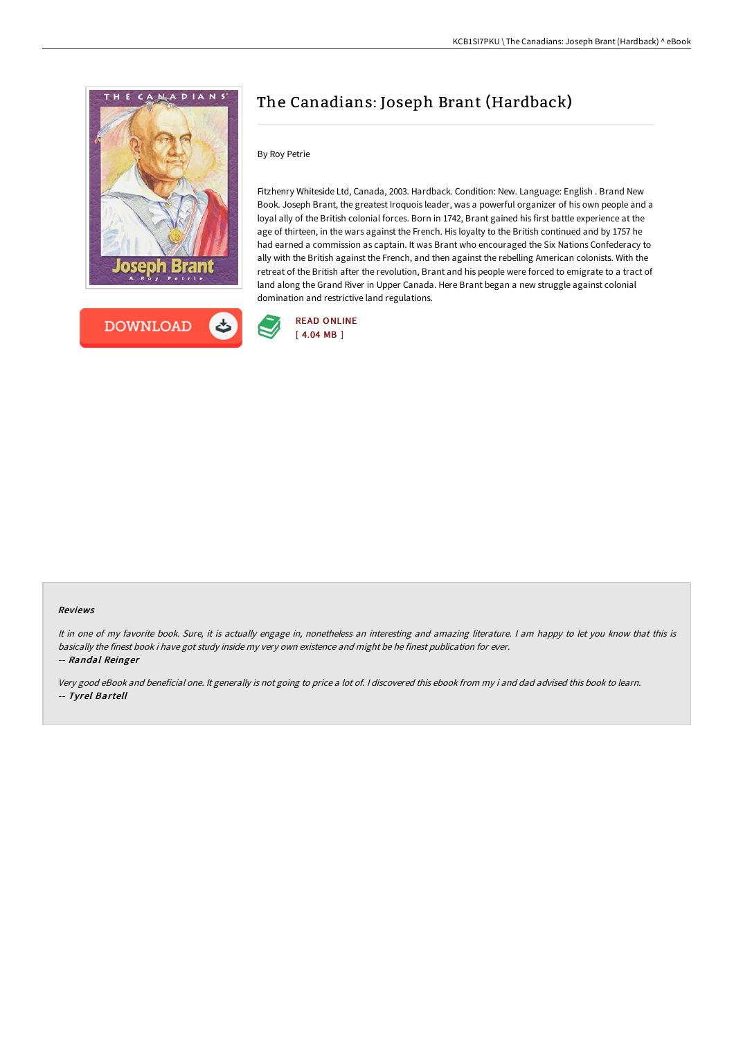



# The Canadians: Joseph Brant (Hardback)

## By Roy Petrie

Fitzhenry Whiteside Ltd, Canada, 2003. Hardback. Condition: New. Language: English . Brand New Book. Joseph Brant, the greatest Iroquois leader, was a powerful organizer of his own people and a loyal ally of the British colonial forces. Born in 1742, Brant gained his first battle experience at the age of thirteen, in the wars against the French. His loyalty to the British continued and by 1757 he had earned a commission as captain. It was Brant who encouraged the Six Nations Confederacy to ally with the British against the French, and then against the rebelling American colonists. With the retreat of the British after the revolution, Brant and his people were forced to emigrate to a tract of land along the Grand River in Upper Canada. Here Brant began a new struggle against colonial domination and restrictive land regulations.



#### Reviews

It in one of my favorite book. Sure, it is actually engage in, nonetheless an interesting and amazing literature. <sup>I</sup> am happy to let you know that this is basically the finest book i have got study inside my very own existence and might be he finest publication for ever.

-- Randal Reinger

Very good eBook and beneficial one. It generally is not going to price <sup>a</sup> lot of. <sup>I</sup> discovered this ebook from my i and dad advised this book to learn. -- Tyrel Bartell